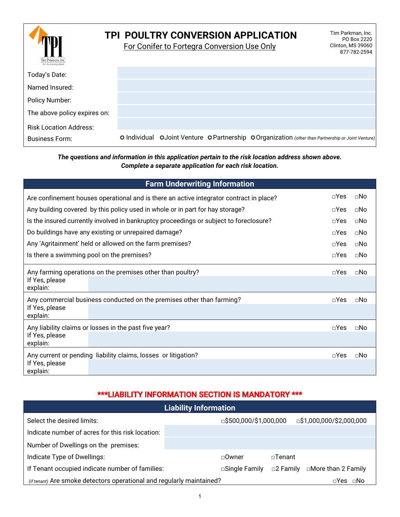| Tim Parkman. Inc.<br>For the lourney ahead | Tim Parkman, Inc.<br>TPI POULTRY CONVERSION APPLICATION<br>PO Box 2220<br>For Conifer to Fortegra Conversion Use Only<br>Clinton, MS 39060<br>877-782-2594 |
|--------------------------------------------|------------------------------------------------------------------------------------------------------------------------------------------------------------|
| Today's Date:                              |                                                                                                                                                            |
| Named Insured:                             |                                                                                                                                                            |
| Policy Number:                             |                                                                                                                                                            |
| The above policy expires on:               |                                                                                                                                                            |
| <b>Risk Location Address:</b>              |                                                                                                                                                            |
| <b>Business Form:</b>                      | O Individual OJoint Venture OPartnership OOrganization (other than Partnership or Joint Venture)                                                           |

### *The questions and information in this application pertain to the risk location address shown above. Complete a separate application for each risk location.*

|                                                                                         | <b>Farm Underwriting Information</b>                                                   |             |             |  |  |  |  |  |
|-----------------------------------------------------------------------------------------|----------------------------------------------------------------------------------------|-------------|-------------|--|--|--|--|--|
| Are confinement houses operational and is there an active integrator contract in place? | $\neg$ Yes                                                                             | $\sqcap$ No |             |  |  |  |  |  |
|                                                                                         | Any building covered by this policy used in whole or in part for hay storage?          | $\neg$ Yes  | $\sqcap$ No |  |  |  |  |  |
|                                                                                         | Is the insured currently involved in bankruptcy proceedings or subject to foreclosure? | $\neg$ Yes  | $\sqcap$ No |  |  |  |  |  |
|                                                                                         | Do buildings have any existing or unrepaired damage?                                   | $\Box$ Yes  | $\Box$ No   |  |  |  |  |  |
|                                                                                         | Any 'Agritainment' held or allowed on the farm premises?                               | $\neg$ Yes  | $\sqcap$ No |  |  |  |  |  |
| Is there a swimming pool on the premises?                                               |                                                                                        | $\neg$ Yes  | $\Box$ No   |  |  |  |  |  |
| Any farming operations on the premises other than poultry?                              |                                                                                        |             |             |  |  |  |  |  |
| If Yes, please<br>explain:                                                              |                                                                                        |             |             |  |  |  |  |  |
| Any commercial business conducted on the premises other than farming?<br>$\neg$ Yes     |                                                                                        |             |             |  |  |  |  |  |
| If Yes, please<br>explain:                                                              |                                                                                        |             |             |  |  |  |  |  |
| Any liability claims or losses in the past five year?<br>$\Box$ Yes<br>$\sqcap$ No      |                                                                                        |             |             |  |  |  |  |  |
| If Yes, please<br>explain:                                                              |                                                                                        |             |             |  |  |  |  |  |
| Any current or pending liability claims, losses or litigation?<br>$\neg$ Yes<br>⊓N∩     |                                                                                        |             |             |  |  |  |  |  |
| If Yes, please<br>explain:                                                              |                                                                                        |             |             |  |  |  |  |  |

# \*\*\*LIABILITY INFORMATION SECTION IS MANDATORY \*\*\*

| <b>Liability Information</b>                                          |                         |                                           |  |  |  |  |
|-----------------------------------------------------------------------|-------------------------|-------------------------------------------|--|--|--|--|
| Select the desired limits:                                            | □\$500,000/\$1,000,000  | $\Box$ \$1,000,000/\$2,000,000            |  |  |  |  |
| Indicate number of acres for this risk location:                      |                         |                                           |  |  |  |  |
| Number of Dwellings on the premises:                                  |                         |                                           |  |  |  |  |
| Indicate Type of Dwellings:                                           | $\Box$ Owner            | $\sqcap$ Tenant                           |  |  |  |  |
| If Tenant occupied indicate number of families:                       | $\square$ Single Family | □More than 2 Family<br>$\square$ 2 Family |  |  |  |  |
| (if tenant) Are smoke detectors operational and regularly maintained? |                         | $\sqcap$ Yes<br>⊡No                       |  |  |  |  |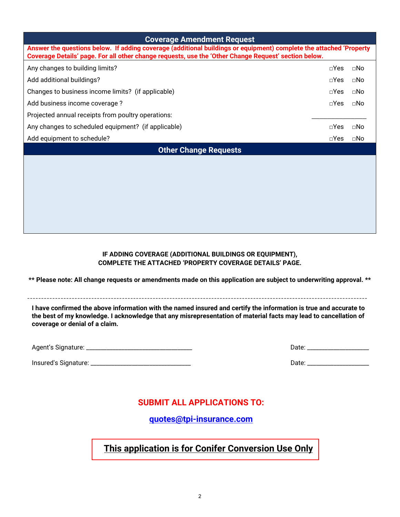| <b>Coverage Amendment Request</b>                                                                                                                                                                                          |               |              |  |  |  |  |
|----------------------------------------------------------------------------------------------------------------------------------------------------------------------------------------------------------------------------|---------------|--------------|--|--|--|--|
| Answer the questions below. If adding coverage (additional buildings or equipment) complete the attached 'Property<br>Coverage Details' page. For all other change requests, use the 'Other Change Request' section below. |               |              |  |  |  |  |
| Any changes to building limits?                                                                                                                                                                                            | $\neg$ Yes    | $\square$ No |  |  |  |  |
| Add additional buildings?                                                                                                                                                                                                  | $\neg$ Yes    | ⊡No          |  |  |  |  |
| Changes to business income limits? (if applicable)                                                                                                                                                                         | $\Box$ Yes    | ⊡No          |  |  |  |  |
| Add business income coverage?                                                                                                                                                                                              | $\neg$ Yes    | $\sqcap$ No  |  |  |  |  |
| Projected annual receipts from poultry operations:                                                                                                                                                                         |               |              |  |  |  |  |
| Any changes to scheduled equipment? (if applicable)                                                                                                                                                                        | $\square$ Yes | $\sqcap$ No  |  |  |  |  |
| Add equipment to schedule?                                                                                                                                                                                                 | $\square$ Yes | ⊡No          |  |  |  |  |
| <b>Other Change Requests</b>                                                                                                                                                                                               |               |              |  |  |  |  |
|                                                                                                                                                                                                                            |               |              |  |  |  |  |
|                                                                                                                                                                                                                            |               |              |  |  |  |  |
|                                                                                                                                                                                                                            |               |              |  |  |  |  |
|                                                                                                                                                                                                                            |               |              |  |  |  |  |
|                                                                                                                                                                                                                            |               |              |  |  |  |  |
|                                                                                                                                                                                                                            |               |              |  |  |  |  |

#### **IF ADDING COVERAGE (ADDITIONAL BUILDINGS OR EQUIPMENT), COMPLETE THE ATTACHED 'PROPERTY COVERAGE DETAILS' PAGE.**

**\*\* Please note: All change requests or amendments made on this application are subject to underwriting approval. \*\***

--------------------------------------------------------------------------------------------------------------------------

**I have confirmed the above information with the named insured and certify the information is true and accurate to the best of my knowledge. I acknowledge that any misrepresentation of material facts may lead to cancellation of coverage or denial of a claim.**

| Agent's Signature: |  |
|--------------------|--|
|                    |  |

Insured's Signature: \_\_\_\_\_\_\_\_\_\_\_\_\_\_\_\_\_\_\_\_\_\_\_\_\_\_\_\_\_\_\_\_\_\_ Date: \_\_\_\_\_\_\_\_\_\_\_\_\_\_\_\_\_\_\_\_\_

Agent's Signature: \_\_\_\_\_\_\_\_\_\_\_\_\_\_\_\_\_\_\_\_\_\_\_\_\_\_\_\_\_\_\_\_\_\_\_\_ Date: \_\_\_\_\_\_\_\_\_\_\_\_\_\_\_\_\_\_\_\_\_

# **SUBMIT ALL APPLICATIONS TO:**

**quotes@tpi-insurance.com**

**This application is for Conifer Conversion Use Only**